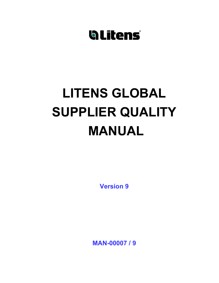# LITENS GLOBAL SUPPLIER QUALITY MANUAL

Version 9

MAN-00007 / 9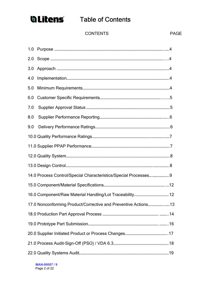

### **Glitens** Table of Contents

#### CONTENTS PAGE

| 1.0                                                              |  |  |
|------------------------------------------------------------------|--|--|
| 2.0                                                              |  |  |
| 3.0                                                              |  |  |
| 4.0                                                              |  |  |
| 5.0                                                              |  |  |
| 6.0                                                              |  |  |
| 7.0                                                              |  |  |
| 8.0                                                              |  |  |
| 9.0                                                              |  |  |
|                                                                  |  |  |
|                                                                  |  |  |
|                                                                  |  |  |
|                                                                  |  |  |
| 14.0 Process Control/Special Characteristics/Special Processes 9 |  |  |
|                                                                  |  |  |
|                                                                  |  |  |
|                                                                  |  |  |
|                                                                  |  |  |
|                                                                  |  |  |
|                                                                  |  |  |
|                                                                  |  |  |
|                                                                  |  |  |

MAN-00007 / 9 Page 2 of 22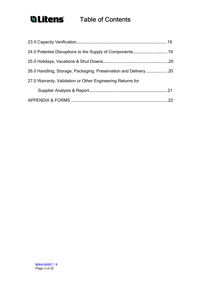### **Glitens** Table of Contents

| 27.0 Warranty, Validation or Other Engineering Returns for |     |  |
|------------------------------------------------------------|-----|--|
|                                                            | .21 |  |
|                                                            | 22  |  |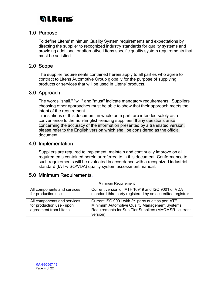### **blitens**

### 1.0 Purpose

To define Litens' minimum Quality System requirements and expectations by directing the supplier to recognized industry standards for quality systems and providing additional or alternative Litens specific quality system requirements that must be satisfied.

#### 2.0 Scope

The supplier requirements contained herein apply to all parties who agree to contract to Litens Automotive Group globally for the purpose of supplying products or services that will be used in Litens' products.

#### 3.0 Approach

The words "shall," "will" and "must" indicate mandatory requirements. Suppliers choosing other approaches must be able to show that their approach meets the intent of the requirement.

Translations of this document, in whole or in part, are intended solely as a convenience to the non-English-reading suppliers. If any questions arise concerning the accuracy of the information presented by a translated version, please refer to the English version which shall be considered as the official document.

### 4.0 Implementation

Suppliers are required to implement, maintain and continually improve on all requirements contained herein or referred to in this document. Conformance to such requirements will be evaluated in accordance with a recognized industrial standard (IATF/ISO/VDA) quality system assessment manual.

### 5.0 Minimum Requirements.

|                                                                                    | <b>Minimum Requirement</b>                                                                                                                                                           |
|------------------------------------------------------------------------------------|--------------------------------------------------------------------------------------------------------------------------------------------------------------------------------------|
| All components and services<br>for production use                                  | Current version of IATF 16949 and ISO 9001 or VDA<br>standard third party registered by an accredited registrar                                                                      |
| All components and services<br>for production use - upon<br>agreement from Litens. | Current ISO 9001 with 2 <sup>nd</sup> party audit as per IATF<br>Minimum Automotive Quality Management Systems<br>Requirements for Sub-Tier Suppliers (MAQMSR - current<br>version). |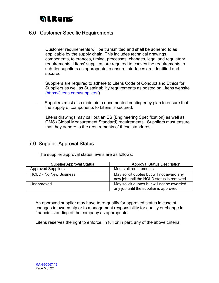### **blitens**

### 6.0 Customer Specific Requirements

 Customer requirements will be transmitted and shall be adhered to as applicable by the supply chain. This includes technical drawings, components, tolerances, timing, processes, changes, legal and regulatory requirements. Litens' suppliers are required to convey the requirements to sub-tier suppliers as appropriate to ensure interfaces are identified and secured.

Suppliers are required to adhere to Litens Code of Conduct and Ethics for Suppliers as well as Sustainability requirements as posted on Litens website (https://litens.com/suppliers/).

. Suppliers must also maintain a documented contingency plan to ensure that the supply of components to Litens is secured.

 Litens drawings may call out an ES (Engineering Specification) as well as GMS (Global Measurement Standard) requirements. Suppliers must ensure that they adhere to the requirements of these standards.

### 7.0 Supplier Approval Status

| <b>Supplier Approval Status</b> | <b>Approval Status Description</b>                                                    |
|---------------------------------|---------------------------------------------------------------------------------------|
| <b>Approved Suppliers</b>       | Meets all requirements                                                                |
| <b>HOLD - No New Business</b>   | May solicit quotes but will not award any<br>new job until the HOLD status is removed |
| Unapproved                      | May solicit quotes but will not be awarded<br>any job until the supplier is approved  |

The supplier approval status levels are as follows:

An approved supplier may have to re-qualify for approved status in case of changes to ownership or to management responsibility for quality or change in financial standing of the company as appropriate.

Litens reserves the right to enforce, in full or in part, any of the above criteria.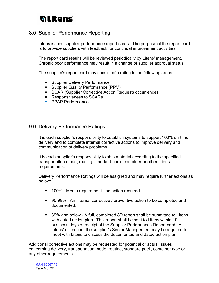### **hLitens**

### 8.0 Supplier Performance Reporting

Litens issues supplier performance report cards. The purpose of the report card is to provide suppliers with feedback for continual improvement activities.

The report card results will be reviewed periodically by Litens' management. Chronic poor performance may result in a change of supplier approval status.

The supplier's report card may consist of a rating in the following areas:

- **Supplier Delivery Performance**
- **Supplier Quality Performance (PPM)**
- SCAR (Supplier Corrective Action Request) occurrences
- Responsiveness to SCARs
- **PPAP Performance**

#### 9.0 Delivery Performance Ratings

It is each supplier's responsibility to establish systems to support 100% on-time delivery and to complete internal corrective actions to improve delivery and communication of delivery problems.

It is each supplier's responsibility to ship material according to the specified transportation mode, routing, standard pack, container or other Litens requirements.

Delivery Performance Ratings will be assigned and may require further actions as below:

- **100% Meets requirement no action required.**
- 90-99% An internal corrective / preventive action to be completed and documented.
- 89% and below A full, completed 8D report shall be submitted to Litens with dated action plan. This report shall be sent to Litens within 10 business days of receipt of the Supplier Performance Report card. At Litens' discretion, the supplier's Senior Management may be required to meet with Litens to discuss the documented and dated action plan

Additional corrective actions may be requested for potential or actual issues concerning delivery, transportation mode, routing, standard pack, container type or any other requirements.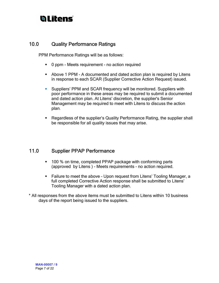### **blitens**

### 10.0 Quality Performance Ratings

PPM Performance Ratings will be as follows:

- **0 ppm Meets requirement no action required**
- Above 1 PPM A documented and dated action plan is required by Litens in response to each SCAR (Supplier Corrective Action Request) issued.
- Suppliers' PPM and SCAR frequency will be monitored. Suppliers with poor performance in these areas may be required to submit a documented and dated action plan. At Litens' discretion, the supplier's Senior Management may be required to meet with Litens to discuss the action plan.
- Regardless of the supplier's Quality Performance Rating, the supplier shall be responsible for all quality issues that may arise.

### 11.0 Supplier PPAP Performance

- 100 % on time, completed PPAP package with conforming parts (approved by Litens ) - Meets requirements - no action required.
- Failure to meet the above Upon request from Litens' Tooling Manager, a full completed Corrective Action response shall be submitted to Litens' Tooling Manager with a dated action plan.
- \* All responses from the above items must be submitted to Litens within 10 business days of the report being issued to the suppliers.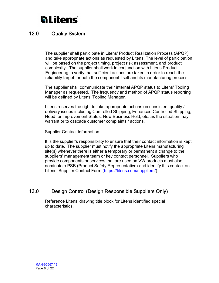### 12.0 Quality System

The supplier shall participate in Litens' Product Realization Process (APQP) and take appropriate actions as requested by Litens. The level of participation will be based on the project timing, project risk assessment, and product complexity. The supplier shall work in conjunction with Litens Product Engineering to verify that sufficient actions are taken in order to reach the reliability target for both the component itself and its manufacturing process.

The supplier shall communicate their internal APQP status to Litens' Tooling Manager as requested. The frequency and method of APQP status reporting will be defined by Litens' Tooling Manager.

Litens reserves the right to take appropriate actions on consistent quality / delivery issues including Controlled Shipping, Enhanced Controlled Shipping, Need for improvement Status, New Business Hold, etc. as the situation may warrant or to cascade customer complaints / actions.

Supplier Contact Information

It is the supplier's responsibility to ensure that their contact information is kept up to date. The supplier must notify the appropriate Litens manufacturing site(s) whenever there is either a temporary or permanent a change to the suppliers' management team or key contact personnel. Suppliers who provide components or services that are used on VW products must also nominate a PSB (Product Safety Representative) and identify this contact on Litens' Supplier Contact Form (https://litens.com/suppliers/).

### 13.0 Design Control (Design Responsible Suppliers Only)

Reference Litens' drawing title block for Litens identified special characteristics.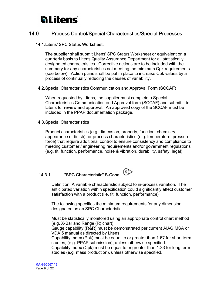### 14.0 Process Control/Special Characteristics/Special Processes

#### 14.1.Litens' SPC Status Worksheet.

. The supplier shall submit Litens' SPC Status Worksheet or equivalent on a quarterly basis to Litens Quality Assurance Department for all statistically designated characteristics. Corrective actions are to be included with the summary for any characteristics not meeting the minimum Cpk requirements (see below). Action plans shall be put in place to increase Cpk values by a process of continually reducing the causes of variability.

#### . 14.2.Special Characteristics Communication and Approval Form (SCCAF)

When requested by Litens, the supplier must complete a Special Characteristics Communication and Approval form (SCCAF) and submit it to Litens for review and approval. An approved copy of the SCCAF must be included in the PPAP documentation package.

#### 14.3.Special Characteristics

Product characteristics (e.g. dimension, property, function, chemistry, appearance or finish), or process characteristics (e.g. temperature, pressure, force) that require additional control to ensure consistency and compliance to meeting customer / engineering requirements and/or government regulations (e.g. fit, function, performance, noise & vibration, durability, safety, legal).

# 14.3.1. "SPC Characteristic" S-Cone <u>S</u>

Definition: A variable characteristic subject to in-process variation. The anticipated variation within specification could significantly affect customer satisfaction with a product (i.e. fit, function, performance)

The following specifies the minimum requirements for any dimension designated as an SPC Characteristic

Must be statistically monitored using an appropriate control chart method (e.g. X-Bar and Range (R) chart).

Gauge capability (R&R) must be demonstrated per current AIAG MSA or VDA 5 manual as directed by Litens.

Capability Index (Ppk) must be equal to or greater than 1.67 for short term studies, (e.g. PPAP submission), unless otherwise specified.

Capability Index (Cpk) must be equal to or greater than 1.33 for long term studies (e.g. mass production), unless otherwise specified.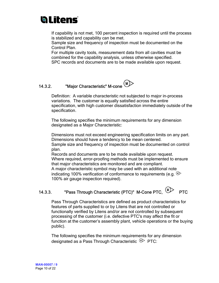# **h Litens**

If capability is not met, 100 percent inspection is required until the process is stabilized and capability can be met.

Sample size and frequency of inspection must be documented on the Control Plan.

For multiple cavity tools, measurement data from all cavities must be combined for the capability analysis, unless otherwise specified.

SPC records and documents are to be made available upon request.

### 14.3.2. "Major Characteristic" M-cone (M)

Definition: A variable characteristic not subjected to major in-process variations. The customer is equally satisfied across the entire specification, with high customer dissatisfaction immediately outside of the specification.

The following specifies the minimum requirements for any dimension designated as a Major Characteristic:

Dimensions must not exceed engineering specification limits on any part. Dimensions should have a tendency to be mean centered. Sample size and frequency of inspection must be documented on control

plan.

Records and documents are to be made available upon request. Where required, error-proofing methods must be implemented to ensure that major characteristics are monitored and are compliant.

A major characteristic symbol may be used with an additional note indicating 100% verification of conformance to requirements (e.g.  $\mathbb{D}$ ) 100% air gauge inspection required).

### 14.3.3. "Pass Through Characteristic (PTC)" M-Cone PTC, MD

Pass Through Characteristics are defined as product characteristics for features of parts supplied to or by Litens that are not controlled or functionally verified by Litens and/or are not controlled by subsequent processing of the customer (i.e. defective PTC's may affect the fit or function at the customer's assembly plant, vehicle operations or the buying public).

The following specifies the minimum requirements for any dimension designated as a Pass Through Characteristic  $\mathbb{P}\text{PTC}$ :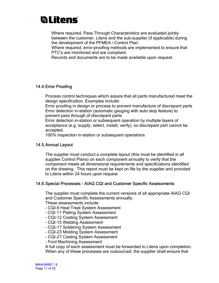Where required, Pass Through Characteristics are evaluated jointly between the customer, Litens and the sub-supplier (if applicable) during the development of the PFMEA / Control Plan.

Where required, error-proofing methods are implemented to ensure that PTC's are monitored and are compliant.

Records and documents are to be made available upon request.

#### 14.4.Error Proofing

Process control techniques which assure that all parts manufactured meet the design specification. Examples include:

Error proofing in design or process to prevent manufacture of discrepant parts Error detection in-station (automatic gauging with auto stop feature) to prevent pass through of discrepant parts

Error detection in-station or subsequent operation by multiple layers of acceptance (e.g. supply, select, install, verify), so discrepant part cannot be accepted.

100% inspection in-station or subsequent operations

#### 14.5.Annual Layout

The supplier must conduct a complete layout (this must be identified in all supplier Control Plans) on each component annually to verify that the component meets all dimensional requirements and specifications identified on the drawing. This report must be kept on file by the supplier and provided to Litens within 24 hours upon request.

#### 14.6.Special Processes - AIAG CQI and Customer Specific Assessments

The supplier must complete the current versions of all appropriate AIAG CQI and Customer Specific Assessments annually.

These assessments include:

- CQI-9 Heat Treat System Assessment
- CQI-11 Plating System Assessment.
- CQI-12 Coating System Assessment
- CQI-15 Welding Assessment
- CQI-17 Soldering System Assessment
- CQI-23 Molding System Assessment
- CQI-27 Casting System Assessment
- Ford Machining Assessment

A full copy of each assessment must be forwarded to Litens upon completion. When any of these processes are outsourced, the supplier shall ensure that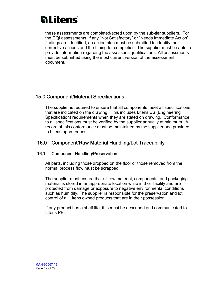these assessments are completed/acted upon by the sub-tier suppliers. For the CQI assessments, if any "Not Satisfactory" or "Needs Immediate Action" findings are identified, an action plan must be submitted to identify the corrective actions and the timing for completion. The supplier must be able to provide information regarding the assessor's qualifications. All assessments must be submitted using the most current version of the assessment document.

### 15.0 Component/Material Specifications

The supplier is required to ensure that all components meet all specifications that are indicated on the drawing. This includes Litens ES (Engineering Specification) requirements when they are stated on drawing. Conformance to all specifications must be verified by the supplier annually at minimum. A record of this conformance must be maintained by the supplier and provided to Litens upon request.

### 16.0 Component/Raw Material Handling/Lot Traceability

#### 16.1 Component Handling/Preservation.

All parts, including those dropped on the floor or those removed from the normal process flow must be scrapped.

The supplier must ensure that all raw material, components, and packaging material is stored in an appropriate location while in their facility and are protected from damage or exposure to negative environmental conditions such as humidity. The supplier is responsible for the preservation and lot control of all Litens owned products that are in their possession.

If any product has a shelf life, this must be described and communicated to Litens PE.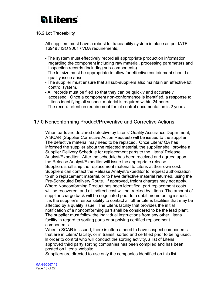#### 16.2 Lot Traceability

All suppliers must have a robust lot traceability system in place as per IATF-16949 / ISO 9001 / VDA requirements,

- The system must effectively record all appropriate production information regarding the component including raw material, processing parameters and inspection records (including sub-components).
- The lot size must be appropriate to allow for effective containment should a quality issue arise.
- The supplier must ensure that all sub-suppliers also maintain an effective lot control system.
- All records must be filed so that they can be quickly and accurately accessed. Once a component non-conformance is identified, a response to Litens identifying all suspect material is required within 24 hours.
- The record retention requirement for lot control documentation is 2 years

### 17.0 Nonconforming Product/Preventive and Corrective Actions

When parts are declared defective by Litens' Quality Assurance Department, A SCAR (Supplier Corrective Action Request) will be issued to the supplier. The defective material may need to be replaced. Once Litens' QA has informed the supplier about the rejected material, the supplier shall provide a Supplier Delivery Schedule for replacement parts to the Litens' Release Analyst/Expeditor. After the schedule has been received and agreed upon, the Release Analyst/Expeditor will issue the appropriate release. Suppliers shall ship the replacement material to Litens at their own cost. Suppliers can contact the Release Analyst/Expeditor to request authorization to ship replacement material, or to have defective material returned, using the Pre-Scheduled Delivery Route. If approved, freight charges may not apply. Where Nonconforming Product has been identified, part replacement costs will be recovered, and all indirect cost will be tracked by Litens. The amount of supplier charge back will be negotiated prior to a debit memo being issued. It is the supplier's responsibility to contact all other Litens facilities that may be affected by a quality issue. The Litens facility that provides the initial notification of a nonconforming part shall be considered to be the lead plant. The supplier must follow the individual instructions from any other Litens facility in regard to sorting parts or supplying certified replacement components.

When a SCAR is issued, there is often a need to have suspect components that are in Litens' facility, or in transit, sorted and certified prior to being used. In order to control who will conduct the sorting activity, a list of Litens approved third party sorting companies has been compiled and has been posted on Litens' website.

Suppliers are directed to use only the companies identified on this list.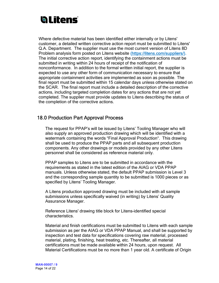Where defective material has been identified either internally or by Litens' customer, a detailed written corrective action report must be submitted to Litens' Q.A. Department. The supplier must use the most current version of Litens 8D Problem analysis form posted on Litens website (https://litens.com/suppliers/). The initial corrective action report, identifying the containment actions must be submitted in writing within 24 hours of receipt of the notification of nonconformance. In addition to the formal written initial report, the supplier is expected to use any other form of communication necessary to ensure that appropriate containment activities are implemented as soon as possible. The final report must be submitted within 15 calendar days unless otherwise stated on the SCAR. The final report must include a detailed description of the corrective actions, including targeted completion dates for any actions that are not yet completed. The supplier must provide updates to Litens describing the status of the completion of the corrective actions.

### 18.0 Production Part Approval Process

The request for PPAP's will be issued by Litens' Tooling Manager who will also supply an approved production drawing which will be identified with a watermark containing the words "Final Approval Production". This drawing shall be used to produce the PPAP parts and all subsequent production components. Any other drawings or models provided by any other Litens personnel shall be considered as reference material only.

PPAP samples to Litens are to be submitted in accordance with the requirements as stated in the latest edition of the AIAG or VDA PPAP manuals. Unless otherwise stated, the default PPAP submission is Level 3 and the corresponding sample quantity to be submitted is 1000 pieces or as specified by Litens' Tooling Manager.

A Litens production approved drawing must be included with all sample submissions unless specifically waived (in writing) by Litens' Quality Assurance Manager.

Reference Litens' drawing title block for Litens-identified special characteristics.

Material and finish certifications must be submitted to Litens with each sample submission as per the AIAG or VDA PPAP Manual, and shall be supported by inspection and test data for specifications covering raw material, processed material, plating, finishing, heat treating, etc. Thereafter, all material certifications must be made available within 24 hours, upon request. All Material Certifications must be no more than 1 year old. A certificate of Origin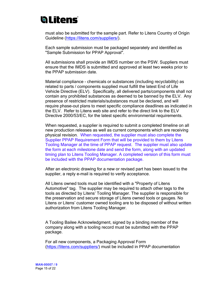must also be submitted for the sample part. Refer to Litens Country of Origin Guideline (https://litens.com/suppliers/).

Each sample submission must be packaged separately and identified as "Sample Submission for PPAP Approval".

All submissions shall provide an IMDS number on the PSW. Suppliers must ensure that the IMDS is submitted and approved at least two weeks prior to the PPAP submission date.

Material compliance - chemicals or substances (including recyclability) as related to parts / components supplied must fulfill the latest End of Life Vehicle Directive (ELV). Specifically, all delivered parts/components shall not contain any prohibited substances as deemed to be banned by the ELV. Any presence of restricted materials/substances must be declared, and will require phase-out plans to meet specific compliance deadlines as indicated in the ELV. Refer to Litens web site and refer to the direct link to the ELV Directive 2000/53/EC, for the latest specific environmental requirements.

When requested, a supplier is required to submit a completed timeline on all new production releases as well as current components which are receiving physical revision. When requested, the supplier must also complete the Supplier PPAP Requirement Form that will be provided to them by Litens Tooling Manager at the time of PPAP request. The supplier must also update the form at each milestone date and send the form, along with an updated timing plan to Litens Tooling Manager. A completed version of this form must be included with the PPAP documentation package.

After an electronic drawing for a new or revised part has been issued to the supplier, a reply e-mail is required to verify acceptance.

All Litens owned tools must be identified with a "Property of Litens Automotive" tag. The supplier may be required to attach other tags to the tools as directed by Litens' Tooling Manager. The supplier is responsible for the preservation and secure storage of Litens owned tools or gauges. No Litens or Litens' customer owned tooling are to be disposed of without written authorization from Litens Tooling Manager.

A Tooling Bailee Acknowledgment, signed by a binding member of the company along with a tooling record must be submitted with the PPAP package.

For all new components, a Packaging Approval Form (https://litens.com/suppliers/) must be included in PPAP documentation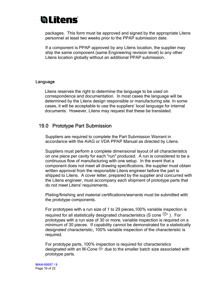### **Valitens**

packages. This form must be approved and signed by the appropriate Litens personnel at least two weeks prior to the PPAP submission date.

If a component is PPAP approved by any Litens location, the supplier may ship the same component (same Engineering revision level) to any other Litens location globally without an additional PPAP submission.

#### Language

Litens reserves the right to determine the language to be used on correspondence and documentation. In most cases the language will be determined by the Litens design responsible or manufacturing site. In some cases, it will be acceptable to use the suppliers' local language for internal documents. However, Litens may request that these be translated.

#### 19.0 Prototype Part Submission

Suppliers are required to complete the Part Submission Warrant in accordance with the AIAG or VDA PPAP Manual as directed by Litens.

Suppliers must perform a complete dimensional layout of all characteristics on one piece per cavity for each "run" produced. A run is considered to be a continuous flow of manufacturing with one setup. In the event that a component does not meet all drawing specifications, the supplier must obtain written approval from the responsible Litens engineer before the part is shipped to Litens. A cover letter, prepared by the supplier and concurred with the Litens engineer, must accompany each shipment of prototype parts that do not meet Litens' requirements.

Plating/finishing and material certifications/warrants must be submitted with the prototype components.

For prototypes with a run size of 1 to 29 pieces,100% variable inspection is required for all statistically designated characteristics (S cone  $\mathbb{S}$ ). For prototypes with a run size of 30 or more, variable inspection is required on a minimum of 30 pieces. If capability cannot be demonstrated for a statistically designated characteristic, 100% variable inspection of the characteristic is required.

For prototype parts, 100% inspection is required for characteristics designated with an M-Cone  $\mathbb{D}$  due to the smaller batch size associated with prototype parts.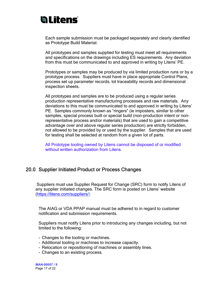Each sample submission must be packaged separately and clearly identified as Prototype Build Material.

All prototypes and samples supplied for testing must meet all requirements and specifications on the drawings including ES requirements. Any deviation from this must be communicated to and approved in writing by Litens' PE.

Prototypes or samples may be produced by via limited production runs or by a prototype process. Suppliers must have in place appropriate Control Plans, process set up parameter records, lot traceability records and dimensional inspection sheets.

All prototypes and samples are to be produced using a regular series production representative manufacturing processes and raw materials. Any deviations to this must be communicated to and approved in writing by Litens' PE. Samples commonly known as "ringers" (ie imposters, similar to other samples, special process built or special build (non-production intent or nonrepresentative process and/or materials) that are used to gain a competitive advantage over and above regular series production) are strictly forbidden, not allowed to be provided by or used by the supplier. Samples that are used for testing shall be selected at random from a given lot of parts.

All Prototype tooling owned by Litens cannot be disposed of or modified without written authorization from Litens.

### 20.0 Supplier Initiated Product or Process Changes

 Suppliers must use Supplier Request for Change (SRC) form to notify Litens of any supplier initiated changes. The SRC form is posted on Litens' website (https://litens.com/suppliers/)

The AIAG or VDA PPAP manual must be adhered to in regard to customer notification and submission requirements.

Suppliers must notify Litens prior to introducing any changes including, but not limited to the following:

- Changes to the tooling or machines.
- Additional tooling or machines to increase capacity.
- Relocation or repositioning of machines or assembly lines.
- Changes to an existing process.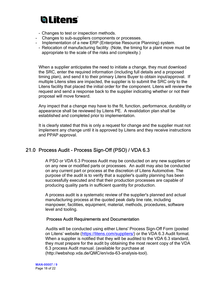- Changes to test or inspection methods.
- Changes to sub-suppliers components or processes.
- Implementation of a new ERP (Enterprise Resource Planning) system.
	- Relocation of manufacturing facility. (Note, the timing for a plant move must be appropriate to the scale of the risks and complexity.)

When a supplier anticipates the need to initiate a change, they must download the SRC, enter the required information (including full details and a proposed timing plan), and send it to their primary Litens Buyer to obtain input/approval. If multiple Litens sites are impacted, the supplier is to submit the SRC only to the Litens facility that placed the initial order for the component. Litens will review the request and send a response back to the supplier indicating whether or not their proposal will move forward.

Any impact that a change may have to the fit, function, performance, durability or appearance shall be reviewed by Litens PE. A revalidation plan shall be established and completed prior to implementation.

It is clearly stated that this is only a request for change and the supplier must not implement any change until it is approved by Litens and they receive instructions and PPAP approval.

### 21.0 Process Audit - Process Sign-Off (PSO) / VDA 6.3

A PSO or VDA 6.3 Process Audit may be conducted on any new suppliers or on any new or modified parts or processes. An audit may also be conducted on any current part or process at the discretion of Litens Automotive. The purpose of the audit is to verify that a supplier's quality planning has been successfully executed and that their production processes are capable of producing quality parts in sufficient quantity for production.

A process audit is a systematic review of the supplier's planned and actual manufacturing process at the quoted peak daily line rate, including manpower, facilities, equipment, material, methods, procedures, software level and tooling.

#### Process Audit Requirements and Documentation

 Audits will be conducted using either Litens' Process Sign-Off Form (posted on Litens' website (https://litens.com/suppliers/) or the VDA 6.3 Audit format. When a supplier is notified that they will be audited to the VDA 6.3 standard, they must prepare for the audit by obtaining the most recent copy of the VDA 6.3 process Audit manual. (available for purchase at (http://webshop.vda.de/QMC/en/vda-63-analysis-tool).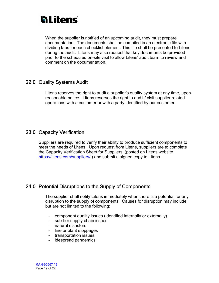When the supplier is notified of an upcoming audit, they must prepare documentation. The documents shall be compiled in an electronic file with dividing tabs for each checklist element. This file shall be presented to Litens during the audit. Litens may also request that key documents be provided prior to the scheduled on-site visit to allow Litens' audit team to review and comment on the documentation.

### 22.0 Quality Systems Audit

Litens reserves the right to audit a supplier's quality system at any time, upon reasonable notice. Litens reserves the right to audit / visit supplier related operations with a customer or with a party identified by our customer.

### 23.0 Capacity Verification

Suppliers are required to verify their ability to produce sufficient components to meet the needs of Litens. Upon request from Litens, suppliers are to complete the Capacity Verification Sheet for Suppliers (posted on Litens website https://litens.com/suppliers/) and submit a signed copy to Litens

### 24.0 Potential Disruptions to the Supply of Components

The supplier shall notify Litens immediately when there is a potential for any disruption to the supply of components. Causes for disruption may include, but are not limited to the following:

- component quality issues (identified internally or externally)
- sub-tier supply chain issues
- natural disasters
- line or plant stoppages
- transportation issues
- idespread pandemics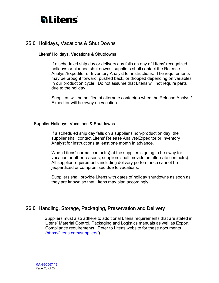### 25.0 Holidays, Vacations & Shut Downs

#### Litens' Holidays, Vacations & Shutdowns

If a scheduled ship day or delivery day falls on any of Litens' recognized holidays or planned shut downs, suppliers shall contact the Release Analyst/Expeditor or Inventory Analyst for instructions. The requirements may be brought forward, pushed back, or dropped depending on variables in our production cycle. Do not assume that Litens will not require parts due to the holiday.

Suppliers will be notified of alternate contact(s) when the Release Analyst/ Expeditor will be away on vacation.

#### Supplier Holidays, Vacations & Shutdowns

If a scheduled ship day falls on a supplier's non-production day, the supplier shall contact Litens' Release Analyst/Expeditor or Inventory Analyst for instructions at least one month in advance.

When Litens' normal contact(s) at the supplier is going to be away for vacation or other reasons, suppliers shall provide an alternate contact(s). All supplier requirements including delivery performance cannot be jeopardized or compromised due to vacations.

Suppliers shall provide Litens with dates of holiday shutdowns as soon as they are known so that Litens may plan accordingly.

### 26.0 Handling, Storage, Packaging, Preservation and Delivery

 Suppliers must also adhere to additional Litens requirements that are stated in Litens' Material Control, Packaging and Logistics manuals as well as Export Compliance requirements. Refer to Litens website for these documents (https://litens.com/suppliers/).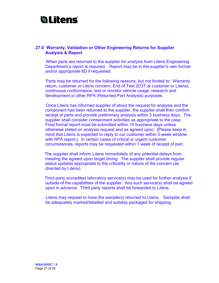#### 27.0 Warranty, Validation or Other Engineering Returns for Supplier Analysis & Report

 When parts are returned to the supplier for analysis from Litens Engineering Department a report is required. Report may be in the supplier's own format and/or appropriate 8D if requested.

 Parts may be returned for the following reasons, but not limited to: Warranty return, customer or Litens concern, End of Test (EOT at customer or Litens), continuous conformance, test or monitor vehicle usage, research and development or other RPA (Returned Part Analysis) purposes.

 Once Litens has informed supplier of about the request for analysis and the component has been returned to the supplier, the supplier shall then confirm receipt of parts and provide preliminary analysis within 3 business days. The supplier shall consider containment activities as appropriate to the case. Final formal report must be submitted within 10 business days unless otherwise stated on analysis request and as agreed upon. [Please keep in mind that Litens is expected to reply to our customer within 3-week window with RPA report.] In certain cases of critical or urgent customer circumstances, reports may be requested within 1 week of receipt of part.

 The supplier shall inform Litens immediately of any potential delays from meeting the agreed upon target timing. The supplier shall provide regular status updates appropriate to the criticality or nature of the concern (as directed by Litens).

 Third party accredited laboratory service(s) may be used for further analysis if outside of the capabilities of the supplier. Any such service(s) shall be agreed upon in advance. Third party reports shall be forwarded to Litens.

 Litens may request to have the sample(s) returned to Litens. Samples shall be adequately marked/labelled and suitably packaged for shipping.